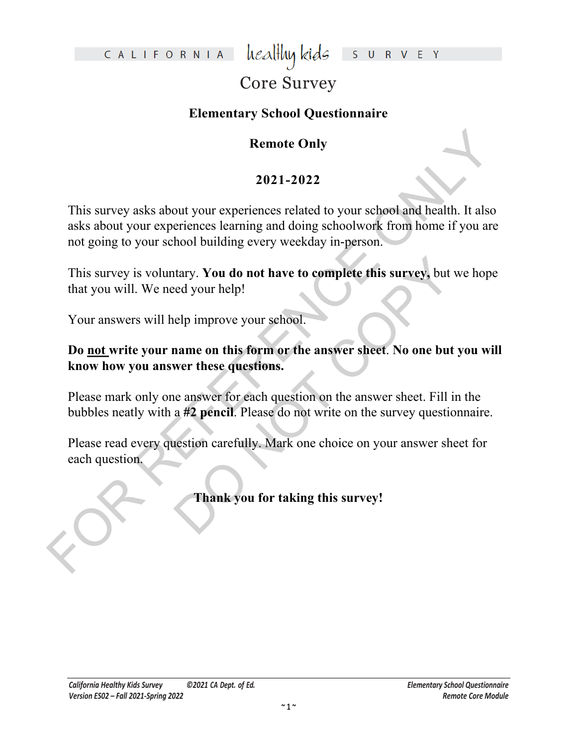CALIFORNIA

healthy kids S U R V E Y

## Core Survey

### **Elementary School Questionnaire**

### **Remote Only**

### **2021-2022**

Remote Only<br>
2021-2022<br>
This survey asks about your experiences related to your school and health. It also<br>
asks about your experiences learning and doing schoolwork from home if you are<br>
ont going to your school building This survey asks about your experiences related to your school and health. It also asks about your experiences learning and doing schoolwork from home if you are not going to your school building every weekday in-person.

tary. You do not have to complete this survey, but weed your help!<br>
elp improve your school.<br>
name on this form or the answer sheet. No one but y<br>
wer these questions.<br>
he answer for each question on the answer sheet. Fill This survey is voluntary. **You do not have to complete this survey,** but we hope that you will. We need your help!

Your answers will help improve your school.

### **Do not write your name on this form or the answer sheet**. **No one but you will know how you answer these questions.**

Please mark only one answer for each question on the answer sheet. Fill in the bubbles neatly with a **#2 pencil**. Please do not write on the survey questionnaire.

Please read every question carefully. Mark one choice on your answer sheet for each question.

**Thank you for taking this survey!**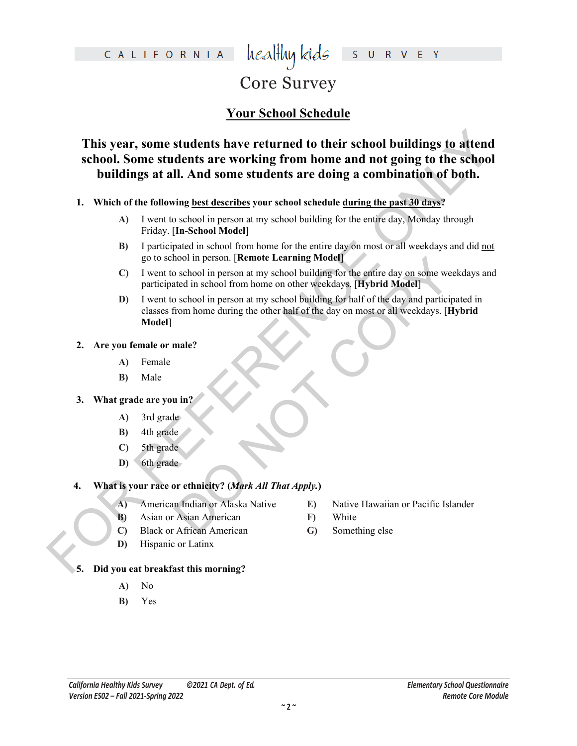### healthy kids CALIFORNIA S U R V E Y

# Core Survey

### **Your School Schedule**

This year, some students have returned to their school buildings to attend<br>school. Some students are working from home and not going to the school<br>buildings at all. And some students are doing a combination of both.<br>
1. W **This year, some students have returned to their school buildings to attend school. Some students are working from home and not going to the school buildings at all. And some students are doing a combination of both.**

- **1. Which of the following best describes your school schedule during the past 30 days?**
	- **A)** I went to school in person at my school building for the entire day, Monday through Friday. [**In-School Model**]
	- **B)** I participated in school from home for the entire day on most or all weekdays and did not go to school in person. [**Remote Learning Model**]
	- **C)** I went to school in person at my school building for the entire day on some weekdays and participated in school from home on other weekdays. [**Hybrid Model**]
	- nool in person. [**Kemote Learning Model]**<br>
	school in person at my school building for the entire day on some week<br>
	ated in school from home on other weekdays. [**Hybrid Model]**<br>
	school in person at my school building for ha **D)** I went to school in person at my school building for half of the day and participated in classes from home during the other half of the day on most or all weekdays. [**Hybrid Model**]
- **2. Are you female or male?**
	- **A)** Female
	- **B)** Male

### **3. What grade are you in?**

- **A)** 3rd grade
- **B)** 4th grade
- **C)** 5th grade
- **D)** 6th grade

### **4. What is your race or ethnicity? (***Mark All That Apply.***)**

- **A)** American Indian or Alaska Native
- **B)** Asian or Asian American
- **C)** Black or African American
- **D)** Hispanic or Latinx
- **E)** Native Hawaiian or Pacific Islander
- **F)** White
- **G)** Something else

### **5. Did you eat breakfast this morning?**

- **A)** No
- **B)** Yes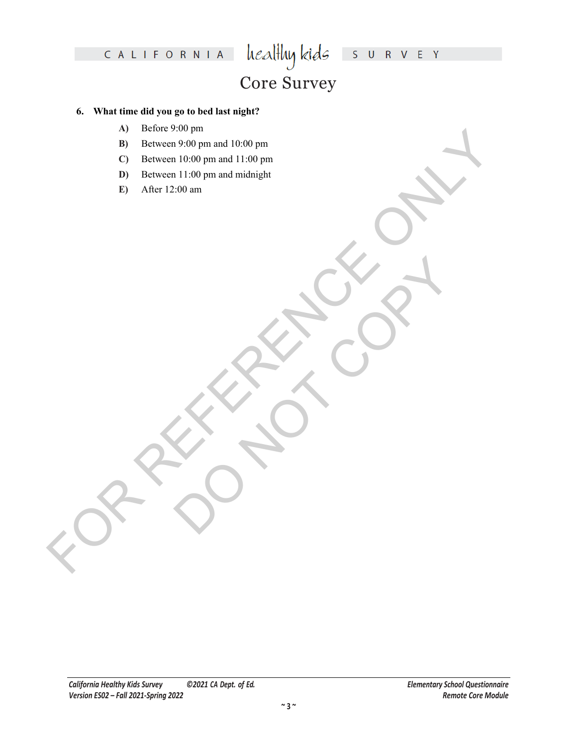# Core Survey

### **6. What time did you go to bed last night?**

- **A)** Before 9:00 pm
- **B)** Between 9:00 pm and 10:00 pm
- FOR REFERENCE CONDENLISTON PRINT CONDENLISTON PRINT CONDENLISTON PRINT CONDENLISTON PRINT CONDENLISTON PRINT CONDENLISTON PRINT CONDENLISTON PRINT CONDENLISTON PRINT CONDENLISTON PRINT CONDENLISTON PRINT CONDENLISTON PRIN **C)** Between 10:00 pm and 11:00 pm
	- **D)** Between 11:00 pm and midnight
	- **E)** After 12:00 am

DO NOTES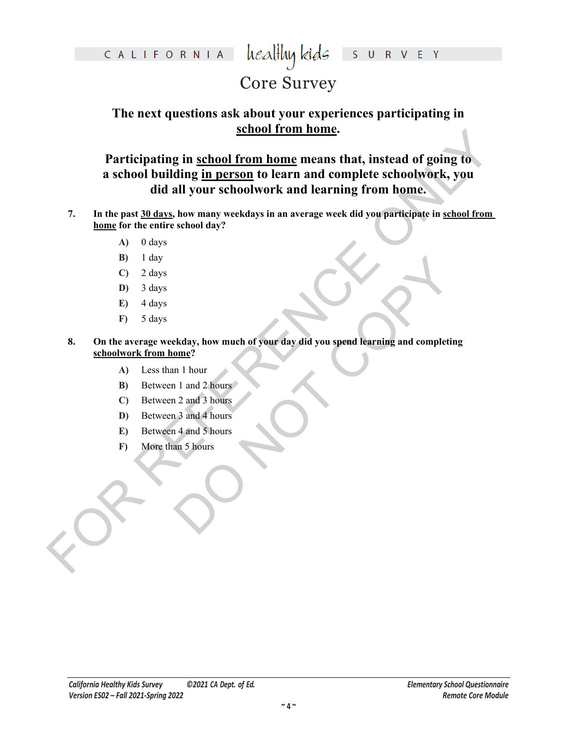## Core Survey

### **The next questions ask about your experiences participating in school from home.**

**EXERCUTE AND SET AND SET AND SET AND SET AND SET AND SET AND SET AND SET AND SET AND SET AND SET AND SET AND SET AND SET AND SET AND SET AND SET AND SET AND SET AND SET AND SET AND SET AND SET AND SET AND SET AND SET AND Participating in school from home means that, instead of going to a school building in person to learn and complete schoolwork, you did all your schoolwork and learning from home.**

- **7. In the past 30 days, how many weekdays in an average week did you participate in school from home for the entire school day?** 
	- **A)** 0 days
	- **B)** 1 day
	- **C)** 2 days
	- **D)** 3 days
	- **E)** 4 days
	- **F)** 5 days
- Ekday, how much of your day did you spend learning and completing  $\frac{\text{ome}}{\text{1}}$ <br>  $\frac{1}{1}$  and 2 hours<br>  $\frac{1}{1}$  and 4 hours<br>  $\frac{1}{1}$  and 4 hours<br>  $\frac{1}{1}$  and 5 hours<br>  $\frac{1}{1}$  and 5 hours **8. On the average weekday, how much of your day did you spend learning and completing schoolwork from home?** 
	- **A)** Less than 1 hour
	- **B**) Between 1 and 2 hours
	- **C)** Between 2 and 3 hours
	- **D)** Between 3 and 4 hours
	- **E)** Between 4 and 5 hours
	- **F)** More than 5 hours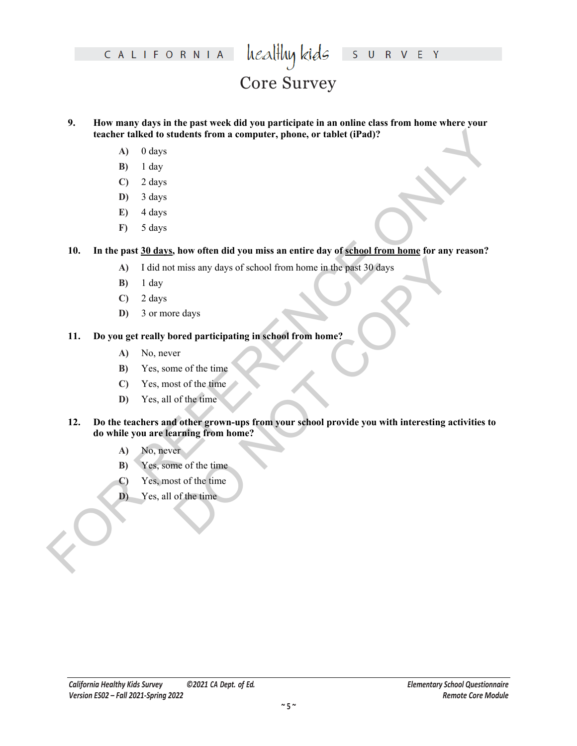CALIFORNIA

# Core Survey

**9. How many days in the past week did you participate in an online class from home where your teacher talked to students from a computer, phone, or tablet (iPad)?** 

- **A)** 0 days
- **B)** 1 day
- **C)** 2 days
- **D)** 3 days
- **E)** 4 days
- **F)** 5 days

**10. In the past 30 days, how often did you miss an entire day of school from home for any reason?**

- **A)** I did not miss any days of school from home in the past 30 days
- **B)** 1 day
- **C)** 2 days
- **D)** 3 or more days

### **11. Do you get really bored participating in school from home?**

- **A)** No, never
- **B)** Yes, some of the time
- **C)** Yes, most of the time
- **D)** Yes, all of the time
- For talked to students from a computer, phone, or tablet (iPad)?<br>
A) O days<br>
B) days<br>
D) 3 days<br>
D) 3 days<br>
D) 3 days<br>
P) 4 days<br>
P) 3 days<br>
P) 2 days<br>
P) 1 day<br>
A) 1 days<br>
P) 1 days<br>
P) 1 days<br>
A) 1 days<br>
D) 3 days<br>
(2) t miss any days of school from home in the past 30 days<br>
red ays<br>
red ays<br>
ored participating in school from home?<br>
er<br>
ne of the time<br>
of the time<br>
of the time<br>
of the time<br>
of the time<br>
of the time<br>
of the time<br>
of the t **12. Do the teachers and other grown-ups from your school provide you with interesting activities to do while you are learning from home?**
	- **A)** No, never
	- **B)** Yes, some of the time
	- **C)** Yes, most of the time
	- **D)** Yes, all of the time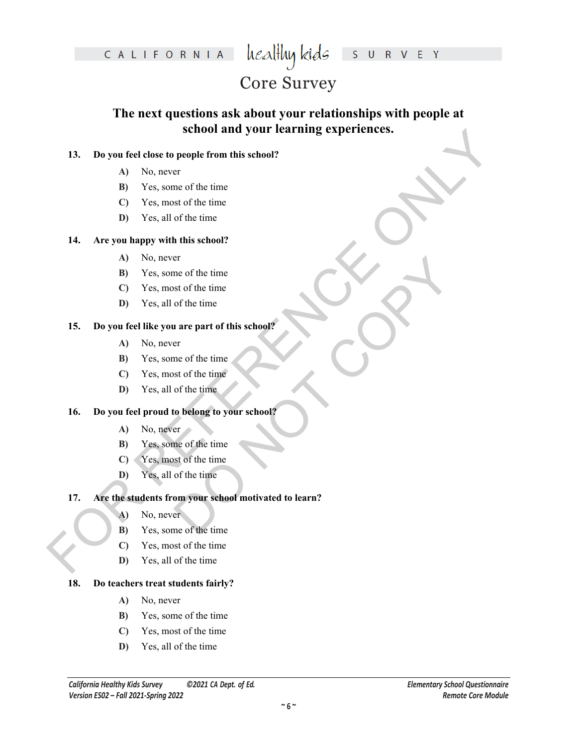CALIFORNIA  $\text{head}$ Huy kids

## S U R V E Y

## Core Survey

### **The next questions ask about your relationships with people at school and your learning experiences.**

### **13. Do you feel close to people from this school?**

- **A)** No, never
- **B)** Yes, some of the time
- **C)** Yes, most of the time
- **D)** Yes, all of the time

### **14. Are you happy with this school?**

- **A)** No, never
- **B)** Yes, some of the time
- **C)** Yes, most of the time
- **D)** Yes, all of the time

### **15. Do you feel like you are part of this school?**

- **A)** No, never
- **B)** Yes, some of the time
- **C)** Yes, most of the time
- **D)** Yes, all of the time

### **16. Do you feel proud to belong to your school?**

- **A)** No, never
- **B)** Yes, some of the time
- **C)** Yes, most of the time
- **D)** Yes, all of the time

# **FOR ALTERNATION SCIENCIPS**<br> **FOR ALTERNATION EXECUTED INTERFERENCE OR EXECUTED**<br> **FOR ALTERNATION FOR ALTERNATION**<br> **FOR ALTERNATION FOR ALTERNATION**<br> **FOR ALTERNATION EXECUTED**<br> **FOR ALTERNATION**<br> **FOR ALTERNA** er<br>
one of the time<br>
of the time<br>
of the time<br>
of the time<br>
are part of this school?<br>
er<br>
me of the time<br>
of the time<br>
to belong to your school?<br>
Frame of the time<br>
of the time<br>
of the time<br>
of the time<br>
of the time<br>
of th **17. Are the students from your school motivated to learn?**

- **A)** No, never
- **B)** Yes, some of the time
- **C)** Yes, most of the time
- **D)** Yes, all of the time

### **18. Do teachers treat students fairly?**

- **A)** No, never
- **B)** Yes, some of the time
- **C)** Yes, most of the time
- **D)** Yes, all of the time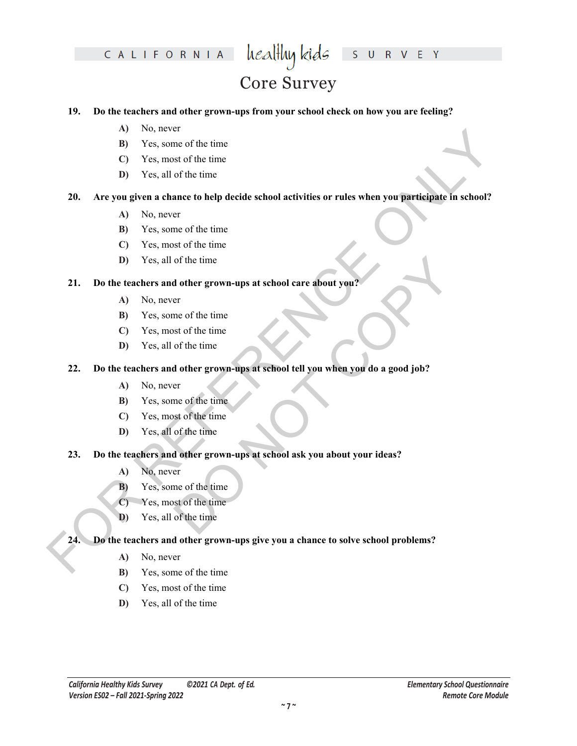# Core Survey

### **19. Do the teachers and other grown-ups from your school check on how you are feeling?**

- **A)** No, never
- **B)** Yes, some of the time
- **C)** Yes, most of the time
- **D)** Yes, all of the time

# **EXAMPLE 19** Volume of the time<br> **EXAMPLE 10** Volume of the time<br> **EXAMPLE 10** Volume of the time<br> **EXAMPLE 10** Volume of the time<br> **EXAMPLE 10** Volume of the time<br> **EXAMPLE 10** Volume of the time<br> **EXAMPLE 10** Volume of **20. Are you given a chance to help decide school activities or rules when you participate in school?**

- **A)** No, never
- **B)** Yes, some of the time
- **C)** Yes, most of the time
- **D)** Yes, all of the time

### **21. Do the teachers and other grown-ups at school care about you?**

- **A)** No, never
- **B)** Yes, some of the time
- **C)** Yes, most of the time
- **D)** Yes, all of the time

# of the time<br>
a dother grown-ups at school care about you?<br>
er<br>
me of the time<br>
of the time<br>
of the time<br>
of the time<br>
of the time<br>
of the time<br>
of the time<br>
of the time<br>
of the time<br>
of the time<br>
of the time<br>
of the time<br> **22. Do the teachers and other grown-ups at school tell you when you do a good job?**

- **A)** No, never
- **B)** Yes, some of the time
- **C)** Yes, most of the time
- **D)** Yes, all of the time

### **23. Do the teachers and other grown-ups at school ask you about your ideas?**

- **A)** No, never
- **B)** Yes, some of the time
- **C)** Yes, most of the time
- **D)** Yes, all of the time

### **24. Do the teachers and other grown-ups give you a chance to solve school problems?**

- **A)** No, never
- **B)** Yes, some of the time
- **C)** Yes, most of the time
- **D)** Yes, all of the time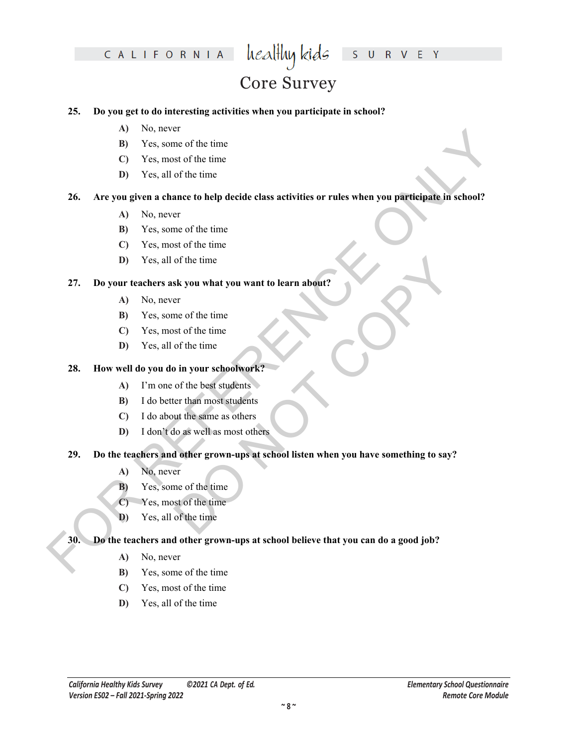# Core Survey

### **25. Do you get to do interesting activities when you participate in school?**

- **A)** No, never
- **B)** Yes, some of the time
- **C)** Yes, most of the time
- **D)** Yes, all of the time

# **FOR A CONSECTED ASSESS**<br> **EXAMPLE CONSECTS** USE CONSECTS (**FOR A CONSECTS** USE CONSECTS)<br> **EXAMPLE CONSECTS** USE CONSECTS (**FOR A CONSECTS** USE CONSECTS)<br> **EXAMPLE CONSECTS**<br> **EXAMPLE CONSECTS**<br> **EXAMPLE CONSECTS**<br> **EXAM 26. Are you given a chance to help decide class activities or rules when you participate in school?**

- **A)** No, never
- **B)** Yes, some of the time
- **C)** Yes, most of the time
- **D)** Yes, all of the time

### **27. Do your teachers ask you what you want to learn about?**

- **A)** No, never
- **B)** Yes, some of the time
- **C)** Yes, most of the time
- **D)** Yes, all of the time

### **28. How well do you do in your schoolwork?**

- **A)** I'm one of the best students
- **B)** I do better than most students
- **C)** I do about the same as others
- **D)** I don't do as well as most others

# of the time<br>sk you what you want to learn about?<br>er<br>me of the time<br>of the time<br>of the time<br>of the time<br>of the time<br>of the best students<br>of the best students<br>to the same as others<br>to as well as most others<br>d other grown-ups **29. Do the teachers and other grown-ups at school listen when you have something to say?**

- **A)** No, never
- **B)** Yes, some of the time
- **C)** Yes, most of the time
- **D)** Yes, all of the time

### **30. Do the teachers and other grown-ups at school believe that you can do a good job?**

- **A)** No, never
- **B)** Yes, some of the time
- **C)** Yes, most of the time
- **D)** Yes, all of the time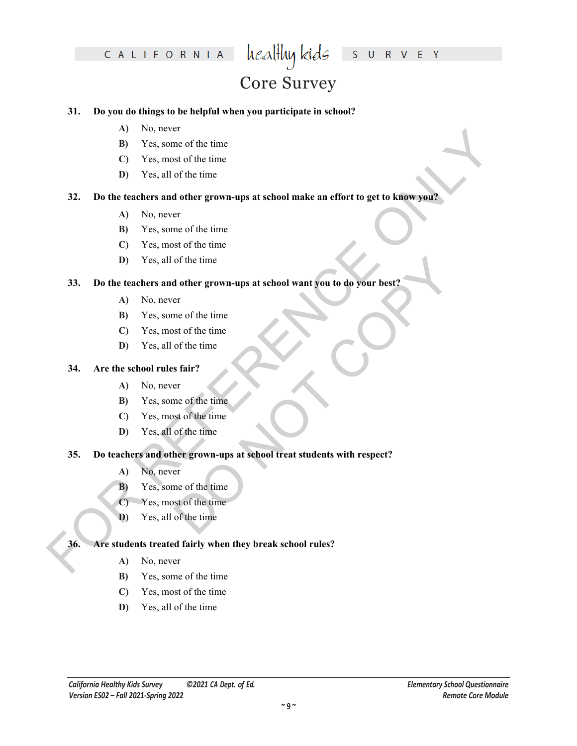# Core Survey

### **31. Do you do things to be helpful when you participate in school?**

- **A)** No, never
- **B)** Yes, some of the time
- **C)** Yes, most of the time
- **D)** Yes, all of the time

# **EXAMPLE 19** VAN the time<br> **EXAMPLE 19** VAN the state of the time<br> **EXAMPLE 19 VAN the STARP (2018)**<br> **EXAMPLE 19 VAN THE STARP (2019)**<br> **EXAMPLE 19 VAN THE STARP (2019)**<br> **A** NO, never<br> **C** Y Van, smoot of the time<br> **C 32. Do the teachers and other grown-ups at school make an effort to get to know you?**

- **A)** No, never
- **B)** Yes, some of the time
- **C)** Yes, most of the time
- **D)** Yes, all of the time

### **33. Do the teachers and other grown-ups at school want you to do your best?**

- **A)** No, never
- **B)** Yes, some of the time
- **C)** Yes, most of the time
- **D)** Yes, all of the time

### **34. Are the school rules fair?**

- **A)** No, never
- **B)** Yes, some of the time
- **C)** Yes, most of the time
- **D)** Yes, all of the time

# of the time<br>
d other grown-ups at school want you to do your best?<br>
er<br>
me of the time<br>
st of the time<br>
st air?<br>
er<br>
me of the time<br>
of the time<br>
of the time<br>
of the time<br>
of the time<br>
er<br>
are of the time<br>
er<br>
st of the ti **35. Do teachers and other grown-ups at school treat students with respect?**

- **A)** No, never
- **B)** Yes, some of the time
- **C)** Yes, most of the time
- **D)** Yes, all of the time

### **36. Are students treated fairly when they break school rules?**

- **A)** No, never
- **B)** Yes, some of the time
- **C)** Yes, most of the time
- **D)** Yes, all of the time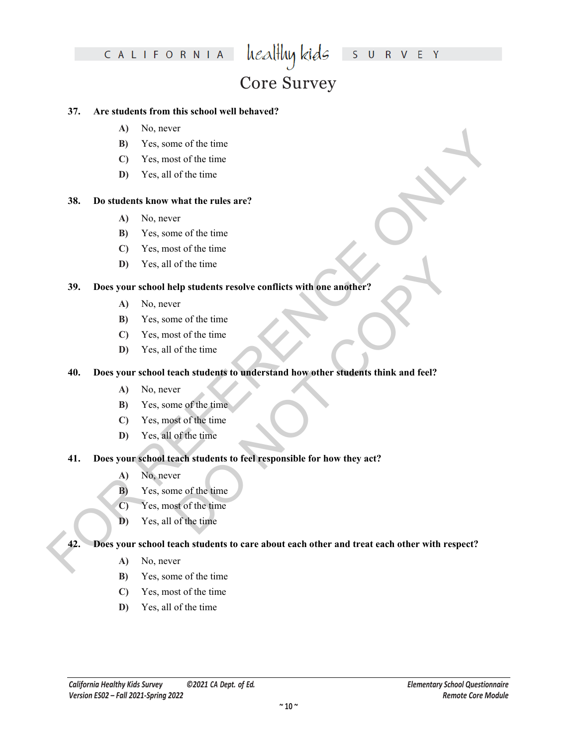# CALIFORNIA  $\text{head}$  healthy kids

## S U R V E Y

# Core Survey

### **37. Are students from this school well behaved?**

- **A)** No, never
- **B)** Yes, some of the time
- **C)** Yes, most of the time
- **D)** Yes, all of the time

### **38. Do students know what the rules are?**

- **A)** No, never
- **B)** Yes, some of the time
- **C)** Yes, most of the time
- **D)** Yes, all of the time

### **39. Does your school help students resolve conflicts with one another?**

- **A)** No, never
- **B)** Yes, some of the time
- **C)** Yes, most of the time
- **D)** Yes, all of the time

# of the time<br>
elp students resolve conflicts with one another?<br>
er<br>
er<br>
ence of the time<br>
of the time<br>
ach students to understand how other students think and feel?<br>
er<br>
me of the time<br>
stof the time<br>
except the time<br>
of th **40. Does your school teach students to understand how other students think and feel?**

- **A)** No, never
- **B)** Yes, some of the time
- **C)** Yes, most of the time
- **D)** Yes, all of the time

### **41. Does your school teach students to feel responsible for how they act?**

- **A)** No, never
- **B)** Yes, some of the time
- **C)** Yes, most of the time
- **D)** Yes, all of the time

# FOR V. So, to cost the time<br>
B) Yes, some of the time<br>
C) Yes, and of the time<br>
C) Yes, and of the time<br> **B)** Yes, some of the time<br> **C)** Yes, some of the time<br>
C) Yes, some of the time<br>
P) Yes, some of the time<br>
B) Yes, **42. Does your school teach students to care about each other and treat each other with respect?**

- **A)** No, never
- **B)** Yes, some of the time
- **C)** Yes, most of the time
- **D)** Yes, all of the time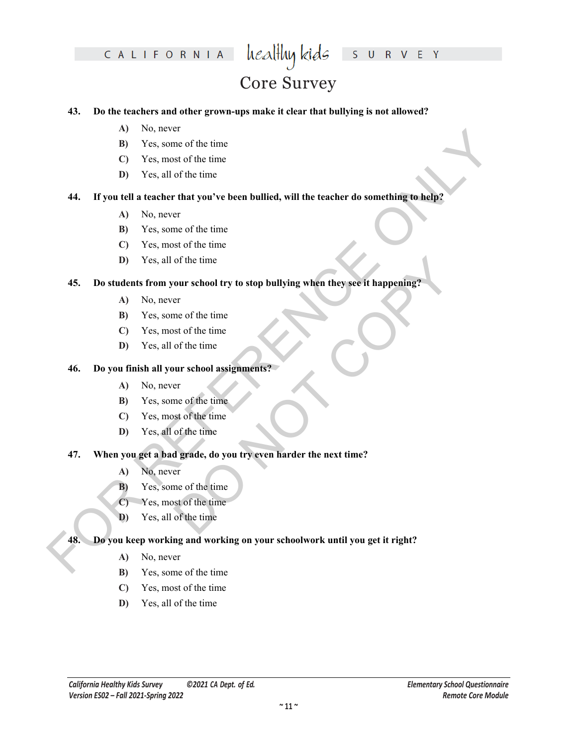# Core Survey

### **43. Do the teachers and other grown-ups make it clear that bullying is not allowed?**

- **A)** No, never
- **B)** Yes, some of the time
- **C)** Yes, most of the time
- **D)** Yes, all of the time

# **FOR A CONSECTED ASSESS**<br> **EXAMPLE CONSECTS** TO THE CONSECTS TO THE CONSECTS TO THE CONSECTS TO THE CONSECTS OF THE CONSECTS OF THE CONSECTS OF THE CONSECTS OF THE CONSECTS OF THE CONSECTS OF THE CONSECTS OF THE CONSECTS **44. If you tell a teacher that you've been bullied, will the teacher do something to help?**

- **A)** No, never
- **B)** Yes, some of the time
- **C)** Yes, most of the time
- **D)** Yes, all of the time

# of the time<br>
our school try to stop bullying when they see it happening?<br>
er<br>
me of the time<br>
st of the time<br>
of the time<br>
or the time<br>
of the time<br>
of the time<br>
of the time<br>
of the time<br>
of the time<br>
of the time<br>
er<br>
me o **45. Do students from your school try to stop bullying when they see it happening?**

- **A)** No, never
- **B)** Yes, some of the time
- **C)** Yes, most of the time
- **D)** Yes, all of the time

### **46. Do you finish all your school assignments?**

- **A)** No, never
- **B)** Yes, some of the time
- **C)** Yes, most of the time
- **D)** Yes, all of the time

### **47. When you get a bad grade, do you try even harder the next time?**

- **A)** No, never
- **B)** Yes, some of the time
- **C)** Yes, most of the time
- **D)** Yes, all of the time

### **48. Do you keep working and working on your schoolwork until you get it right?**

- **A)** No, never
- **B)** Yes, some of the time
- **C)** Yes, most of the time
- **D)** Yes, all of the time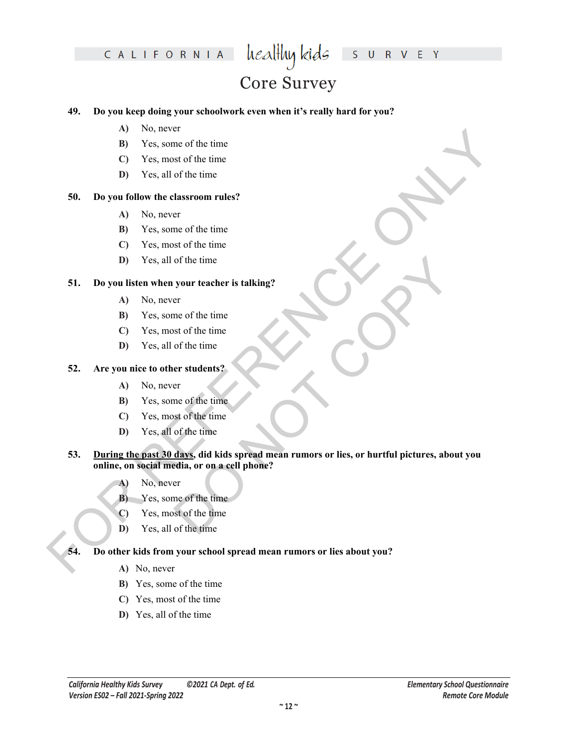CALIFORNIA  $\text{weak}$ hykids

## S U R V E Y

# Core Survey

### **49. Do you keep doing your schoolwork even when it's really hard for you?**

- **A)** No, never
- **B)** Yes, some of the time
- **C)** Yes, most of the time
- **D)** Yes, all of the time

### **50. Do you follow the classroom rules?**

- **A)** No, never
- **B)** Yes, some of the time
- **C)** Yes, most of the time
- **D)** Yes, all of the time

### **51. Do you listen when your teacher is talking?**

- **A)** No, never
- **B)** Yes, some of the time
- **C)** Yes, most of the time
- **D)** Yes, all of the time

### **52. Are you nice to other students?**

- **A)** No, never
- **B)** Yes, some of the time
- **C)** Yes, most of the time
- **D)** Yes, all of the time

# FOR REFERENCE ONLY of the time<br>
your teacher is talking?<br>
er<br>
me of the time<br>
er students?<br>
er<br>
er of the time<br>
er students?<br>
er<br>
days, did kids spread mean rumors or lies, or hurtful pictures, about<br>
edia, or on a cell phone?<br>
er<br>
me of the **53. During the past 30 days, did kids spread mean rumors or lies, or hurtful pictures, about you online, on social media, or on a cell phone?**

- **A)** No, never
- **B)** Yes, some of the time
- **C)** Yes, most of the time
- **D)** Yes, all of the time

### **54. Do other kids from your school spread mean rumors or lies about you?**

- **A)** No, never
- **B)** Yes, some of the time
- **C)** Yes, most of the time
- **D)** Yes, all of the time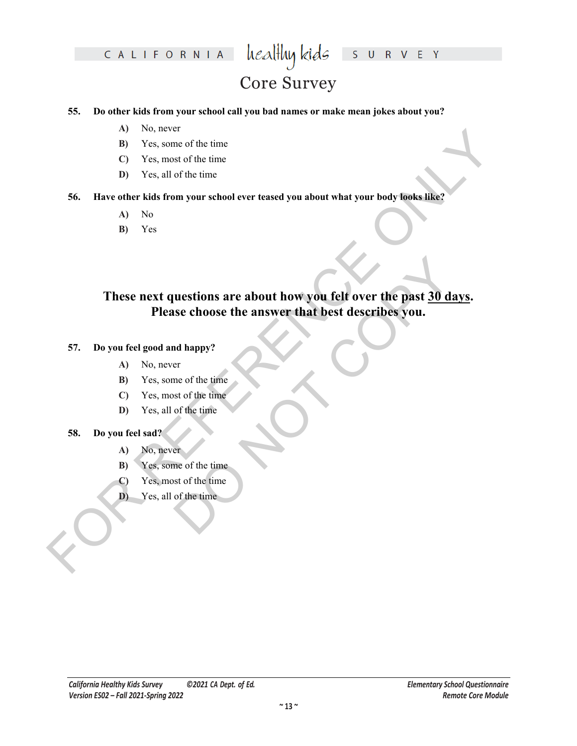# Core Survey

### **55. Do other kids from your school call you bad names or make mean jokes about you?**

- **A)** No, never
- **B)** Yes, some of the time
- **C)** Yes, most of the time
- **D)** Yes, all of the time

### **56. Have other kids from your school ever teased you about what your body looks like?**

- **A)** No
- **B)** Yes

# FOR consistent that the time<br>
EQUI Yes, such of the time<br>
D Yes, and of the time<br>
D Yes, and so fine time<br>
S6. Have other kids from your school ever reased you about what your body tools.like<br>
A) No<br>
(B) Yes.<br>
These next uestions are about how you felt over the past 30 day<br>se choose the answer that best describes you.<br>
nd happy?<br>
er<br>
or the time<br>
of the time<br>
of the time<br>
of the time<br>
of the time<br>
of the time<br>
of the time<br>
of the time **These next questions are about how you felt over the past 30 days. Please choose the answer that best describes you.**

### **57. Do you feel good and happy?**

- **A)** No, never
- **B)** Yes, some of the time
- **C)** Yes, most of the time
- **D)** Yes, all of the time

### **58. Do you feel sad?**

- **A)** No, never
- **B)** Yes, some of the time
- **C)** Yes, most of the time
- **D)** Yes, all of the time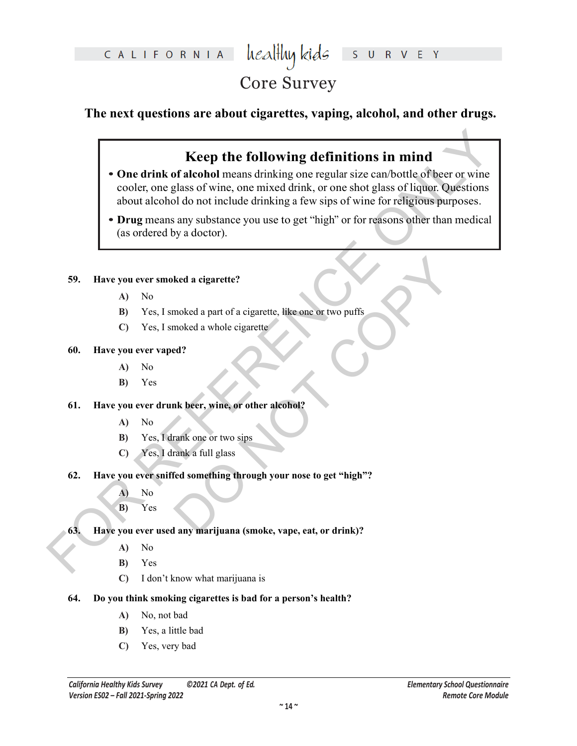# Core Survey

### **The next questions are about cigarettes, vaping, alcohol, and other drugs.**

### **Keep the following definitions in mind**

- **Example 1.1**<br> **Example 1.0** Conditions the conduct of the conduction of the conduction of the conduction of the conduct of the conduct of the conduction of the conduct of the signal of the conduction of the conduction of **• One drink of alcohol** means drinking one regular size can/bottle of beer or wine cooler, one glass of wine, one mixed drink, or one shot glass of liquor. Questions about alcohol do not include drinking a few sips of wine for religious purposes.
	- **• Drug** means any substance you use to get "high" or for reasons other than medical (as ordered by a doctor).

### **59. Have you ever smoked a cigarette?**

- **A)** No
- **B)** Yes, I smoked a part of a cigarette, like one or two puffs
- **C)** Yes, I smoked a whole cigarette

### **60. Have you ever vaped?**

- **A)** No
- **B)** Yes

### **61. Have you ever drunk beer, wine, or other alcohol?**

- **A)** No
- **B)** Yes, I drank one or two sips
- **C)** Yes, I drank a full glass
- Red a cigarette?<br>
moked a part of a cigarette, like one or two puffs<br>
moked a whole cigarette<br>
ed?<br>
Red something through your nose to get "high"?<br>
The stead something through your nose to get "high"?<br>
The stead something **62. Have you ever sniffed something through your nose to get "high"?** 
	- **A)** No
	- **B)** Yes
- **63. Have you ever used any marijuana (smoke, vape, eat, or drink)?**
	- **A)** No
	- **B)** Yes
	- **C)** I don't know what marijuana is
- **64. Do you think smoking cigarettes is bad for a person's health?**
	- **A)** No, not bad
	- **B)** Yes, a little bad
	- **C)** Yes, very bad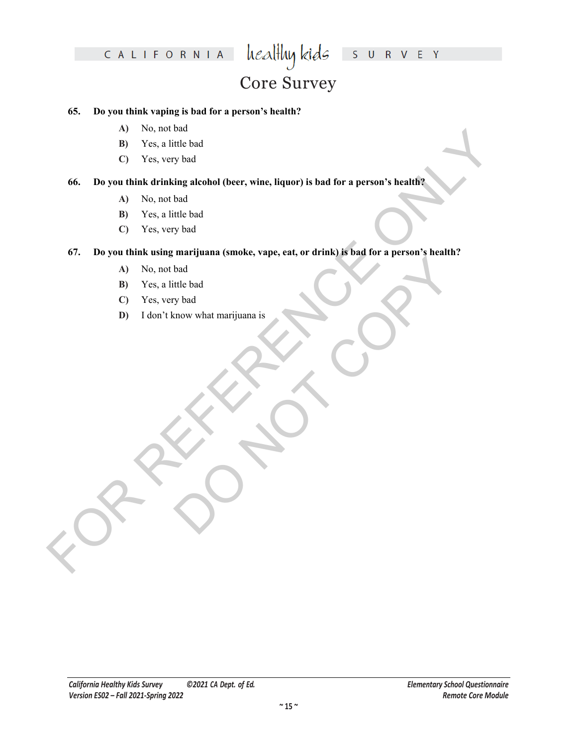# Core Survey

### **65. Do you think vaping is bad for a person's health?**

- **A)** No, not bad
- **B)** Yes, a little bad
- **C)** Yes, very bad

### **66. Do you think drinking alcohol (beer, wine, liquor) is bad for a person's health?**

- **A)** No, not bad
- **B)** Yes, a little bad
- **C)** Yes, very bad

# FOR concerns the bad<br>
ED Yes, very bad<br>
CD Yes, very bad<br>
CD Yes, very bad<br>
CD Yes, very bad<br>
CD Yes, wery bad<br>
CD Yes, wery bad<br>
CD Yes, wery bad<br>
CD Yes, wery bad<br>
CD Yes, wery bad<br>
CD Yes, wery bad<br>
CD Yes, wery bad<br>
CD **67. Do you think using marijuana (smoke, vape, eat, or drink) is bad for a person's health?**

- **A)** No, not bad
- **B)** Yes, a little bad
- **C)** Yes, very bad
- bad<br>Whad<br>mov what marijuana is<br>Copy what marijuana is<br>Copy of the copy of the same of the copy of the copy of the copy of the copy of the copy of the copy of the copy of the copy of the copy of the copy of the copy of the **D)** I don't know what marijuana is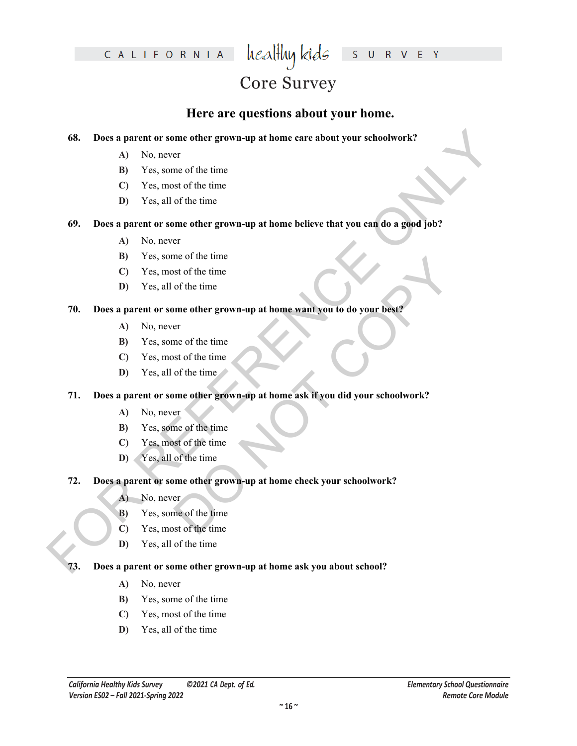## Core Survey

### **Here are questions about your home.**

### **68. Does a parent or some other grown-up at home care about your schoolwork?**

- **A)** No, never
- **B)** Yes, some of the time
- **C)** Yes, most of the time
- **D)** Yes, all of the time

# **FOR A PARTICULAR CONSULTERATION**<br> **FOR A NO**, nevert or some of the time<br> **EV** No, nevert or some of the time<br> **EV** Yes, meal of the time<br> **EV** Yes, meal of the time<br> **FOR D** Description of the time<br> **FOR DEAD A** NO. nev **69. Does a parent or some other grown-up at home believe that you can do a good job?**

- **A)** No, never
- **B)** Yes, some of the time
- **C)** Yes, most of the time
- **D)** Yes, all of the time

### **70. Does a parent or some other grown-up at home want you to do your best?**

- **A)** No, never
- **B)** Yes, some of the time
- **C)** Yes, most of the time
- **D)** Yes, all of the time

# me of the time<br>
of the time<br>
of the time<br>
of the time<br>
of the time<br>
of the time<br>
of the time<br>
of the time<br>
of the time<br>
of the time<br>
of the time<br>
of the time<br>
of the time<br>
of the time<br>
of the time<br>
of the time<br>
of the time **71. Does a parent or some other grown-up at home ask if you did your schoolwork?**

- **A)** No, never
- **B)** Yes, some of the time
- **C)** Yes, most of the time
- **D)** Yes, all of the time
- **72. Does a parent or some other grown-up at home check your schoolwork?**
	- A) No, never
	- **B)** Yes, some of the time
	- **C)** Yes, most of the time
	- **D)** Yes, all of the time

### **73. Does a parent or some other grown-up at home ask you about school?**

- **A)** No, never
- **B)** Yes, some of the time
- **C)** Yes, most of the time
- **D)** Yes, all of the time